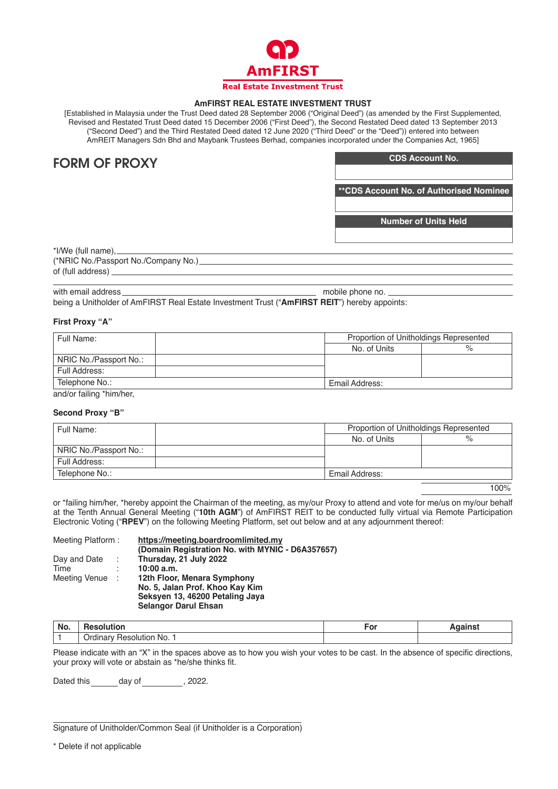

# **AmFIRST REAL ESTATE INVESTMENT TRUST**

[Established in Malaysia under the Trust Deed dated 28 September 2006 ("Original Deed") (as amended by the First Supplemented, Revised and Restated Trust Deed dated 15 December 2006 ("First Deed"), the Second Restated Deed dated 13 September 2013 ("Second Deed") and the Third Restated Deed dated 12 June 2020 ("Third Deed" or the "Deed")) entered into between AmREIT Managers Sdn Bhd and Maybank Trustees Berhad, companies incorporated under the Companies Act, 1965]

# FORM OF PROXY

**CDS Account No.**

**\*\*CDS Account No. of Authorised Nominee**

**Number of Units Held**

\*I/We (full name), (\*NRIC No./Passport No./Company No.) of (full address)

## with email address experience of the phone noise and the phone noise phone noise and the phone noise and the phone noise and the phone noise and the phone noise and the phone noise and the phone noise and the phone noise a

being a Unitholder of AmFIRST Real Estate Investment Trust ("**AmFIRST REIT**") hereby appoints:

# **First Proxy "A"**

| Full Name:              | Proportion of Unitholdings Represented |   |  |  |  |
|-------------------------|----------------------------------------|---|--|--|--|
|                         | No. of Units                           | % |  |  |  |
| NRIC No./Passport No.:  |                                        |   |  |  |  |
| Full Address:           |                                        |   |  |  |  |
| Telephone No.:          | Email Address:                         |   |  |  |  |
| and/or failing thim/hor |                                        |   |  |  |  |

and/or failing \*him/her,

## **Second Proxy "B"**

| Full Name:             |                | Proportion of Unitholdings Represented |  |
|------------------------|----------------|----------------------------------------|--|
|                        | No. of Units   | %                                      |  |
| NRIC No./Passport No.: |                |                                        |  |
| Full Address:          |                |                                        |  |
| Telephone No.:         | Email Address: |                                        |  |

100%

or \*failing him/her, \*hereby appoint the Chairman of the meeting, as my/our Proxy to attend and vote for me/us on my/our behalf at the Tenth Annual General Meeting ("**10th AGM**") of AmFIRST REIT to be conducted fully virtual via Remote Participation Electronic Voting ("**RPEV**") on the following Meeting Platform, set out below and at any adjournment thereof:

| Meeting Platform: |        | https://meeting.boardroomlimited.my<br>(Domain Registration No. with MYNIC - D6A357657) |
|-------------------|--------|-----------------------------------------------------------------------------------------|
| Day and Date      |        | Thursday, 21 July 2022                                                                  |
| Time              |        | 10:00 a.m.                                                                              |
| Meeting Venue     | i di S | 12th Floor, Menara Symphony                                                             |
|                   |        | No. 5, Jalan Prof. Khoo Kay Kim                                                         |
|                   |        | Seksyen 13, 46200 Petaling Jaya                                                         |
|                   |        | <b>Selangor Darul Ehsan</b>                                                             |

| No. |                                                                                   | יט |  |
|-----|-----------------------------------------------------------------------------------|----|--|
|     | No.<br>)rr<br>OILITION<br>$\sim$ $\sim$ $\sim$ $\sim$ $\sim$ $\sim$ $\sim$ $\sim$ |    |  |

Please indicate with an "X" in the spaces above as to how you wish your votes to be cast. In the absence of specific directions, your proxy will vote or abstain as \*he/she thinks fit.

Dated this day of , 2022.

Signature of Unitholder/Common Seal (if Unitholder is a Corporation)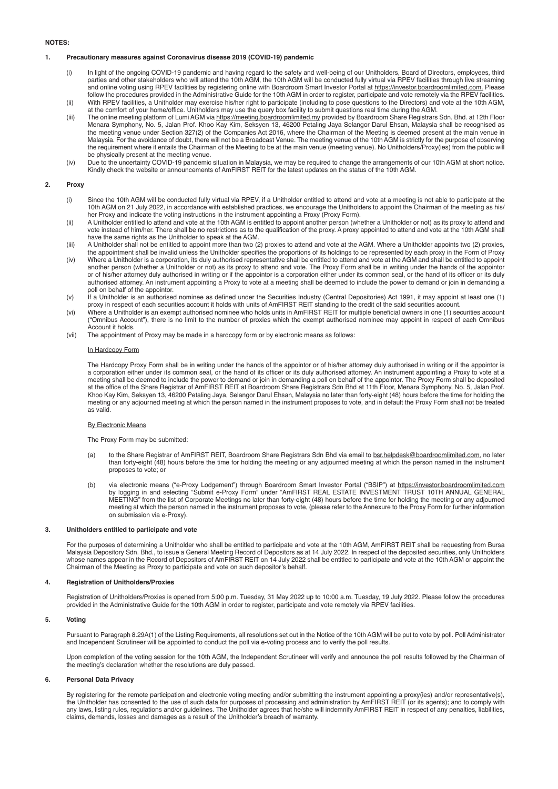### **NOTES:**

#### **1. Precautionary measures against Coronavirus disease 2019 (COVID-19) pandemic**

- (i) In light of the ongoing COVID-19 pandemic and having regard to the safety and well-being of our Unitholders, Board of Directors, employees, third parties and other stakeholders who will attend the 10th AGM, the 10th AGM will be conducted fully virtual via RPEV facilities through live streaming and online voting using RPEV facilities by registering online with Boardroom Smart Investor Portal at https://investor.boardroomlimited.com. Please follow the procedures provided in the Administrative Guide for the 10th AGM in order to register, participate and vote remotely via the RPEV facilities. (ii) With RPEV facilities, a Unitholder may exercise his/her right to participate (including to pose questions to the Directors) and vote at the 10th AGM,
- at the comfort of your home/office. Unitholders may use the query box facility to submit questions real time during the AGM. (iii) The online meeting platform of Lumi AGM via https://meeting.boardroomlimited.my provided by Boardroom Share Registrars Sdn. Bhd. at 12th Floor
- Menara Symphony, No. 5, Jalan Prof. Khoo Kay Kim, Seksyen 13, 46200 Petaling Jaya Selangor Darul Ehsan, Malaysia shall be recognised as the meeting venue under Section 327(2) of the Companies Act 2016, where the Chairman of the Meeting is deemed present at the main venue in Malaysia. For the avoidance of doubt, there will not be a Broadcast Venue. The meeting venue of the 10th AGM is strictly for the purpose of observing the requirement where it entails the Chairman of the Meeting to be at the main venue (meeting venue). No Unitholders/Proxy(ies) from the public will be physically present at the meeting venue.
- (iv) Due to the uncertainty COVID-19 pandemic situation in Malaysia, we may be required to change the arrangements of our 10th AGM at short notice. Kindly check the website or announcements of AmFIRST REIT for the latest updates on the status of the 10th AGM.

## **2. Proxy**

- (i) Since the 10th AGM will be conducted fully virtual via RPEV, if a Unitholder entitled to attend and vote at a meeting is not able to participate at the 10th AGM on 21 July 2022, in accordance with established practices, we encourage the Unitholders to appoint the Chairman of the meeting as his/ her Proxy and indicate the voting instructions in the instrument appointing a Proxy (Proxy Form).
- (ii) A Unitholder entitled to attend and vote at the 10th AGM is entitled to appoint another person (whether a Unitholder or not) as its proxy to attend and vote instead of him/her. There shall be no restrictions as to the qualification of the proxy. A proxy appointed to attend and vote at the 10th AGM shall have the same rights as the Unitholder to speak at the AGM.
- (iii) A Unitholder shall not be entitled to appoint more than two (2) proxies to attend and vote at the AGM. Where a Unitholder appoints two (2) proxies, the appointment shall be invalid unless the Unitholder specifies the proportions of its holdings to be represented by each proxy in the Form of Proxy
- (iv) Where a Unitholder is a corporation, its duly authorised representative shall be entitled to attend and vote at the AGM and shall be entitled to appoint another person (whether a Unitholder or not) as its proxy to attend and vote. The Proxy Form shall be in writing under the hands of the appointor or of his/her attorney duly authorised in writing or if the appointor is a corporation either under its common seal, or the hand of its officer or its duly authorised attorney. An instrument appointing a Proxy to vote at a meeting shall be deemed to include the power to demand or join in demanding a poll on behalf of the appointor.
- (v) If a Unitholder is an authorised nominee as defined under the Securities Industry (Central Depositories) Act 1991, it may appoint at least one (1) proxy in respect of each securities account it holds with units of AmFIRST REIT standing to the credit of the said securities account.
- (vi) Where a Unitholder is an exempt authorised nominee who holds units in AmFIRST REIT for multiple beneficial owners in one (1) securities account ("Omnibus Account"), there is no limit to the number of proxies which the exempt authorised nominee may appoint in respect of each Omnibus Account it holds.
- (vii) The appointment of Proxy may be made in a hardcopy form or by electronic means as follows:

#### In Hardcopy Form

 The Hardcopy Proxy Form shall be in writing under the hands of the appointor or of his/her attorney duly authorised in writing or if the appointor is a corporation either under its common seal, or the hand of its officer or its duly authorised attorney. An instrument appointing a Proxy to vote at a meeting shall be deemed to include the power to demand or join in demanding a poll on behalf of the appointor. The Proxy Form shall be deposited at the office of the Share Registrar of AmFIRST REIT at Boardroom Share Registrars Sdn Bhd at 11th Floor, Menara Symphony, No. 5, Jalan Prof. Khoo Kay Kim, Seksyen 13, 46200 Petaling Jaya, Selangor Darul Ehsan, Malaysia no later than forty-eight (48) hours before the time for holding the meeting or any adjourned meeting at which the person named in the instrument proposes to vote, and in default the Proxy Form shall not be treated as valid.

#### By Electronic Means

The Proxy Form may be submitted:

- (a) to the Share Registrar of AmFIRST REIT, Boardroom Share Registrars Sdn Bhd via email to bernhelpdesk@boardroomlimited.com, no later than forty-eight (48) hours before the time for holding the meeting or any adjourned meeting at which the person named in the instrument proposes to vote; or
- (b) via electronic means ("e-Proxy Lodgement") through Boardroom Smart Investor Portal ("BSIP") at https://investor.boardroomlimited.com by logging in and selecting "Submit e-Proxy Form" under "AmFIRST REAL ESTATE INVESTMENT TRUST 10TH ANNUAL GENERAL MEETING" from the list of Corporate Meetings no later than forty-eight (48) hours before the time for holding the meeting or any adjourned meeting at which the person named in the instrument proposes to vote, (please refer to the Annexure to the Proxy Form for further information on submission via e-Proxy).

#### **3. Unitholders entitled to participate and vote**

For the purposes of determining a Unitholder who shall be entitled to participate and vote at the 10th AGM, AmFIRST REIT shall be requesting from Bursa<br>Malaysia Depository Sdn. Bhd., to issue a General Meeting Record of De whose names appear in the Record of Depositors of AmFIRST REIT on 14 July 2022 shall be entitled to participate and vote at the 10th AGM or appoint the Chairman of the Meeting as Proxy to participate and vote on such depositor's behalf.

## **4. Registration of Unitholders/Proxies**

 Registration of Unitholders/Proxies is opened from 5:00 p.m. Tuesday, 31 May 2022 up to 10:00 a.m. Tuesday, 19 July 2022. Please follow the procedures provided in the Administrative Guide for the 10th AGM in order to register, participate and vote remotely via RPEV facilities.

#### **5. Voting**

 Pursuant to Paragraph 8.29A(1) of the Listing Requirements, all resolutions set out in the Notice of the 10th AGM will be put to vote by poll. Poll Administrator and Independent Scrutineer will be appointed to conduct the poll via e-voting process and to verify the poll results.

 Upon completion of the voting session for the 10th AGM, the Independent Scrutineer will verify and announce the poll results followed by the Chairman of the meeting's declaration whether the resolutions are duly passed.

#### **6. Personal Data Privacy**

By registering for the remote participation and electronic voting meeting and/or submitting the instrument appointing a proxy(ies) and/or representative(s), the Unitholder has consented to the use of such data for purposes of processing and administration by AmFIRST REIT (or its agents); and to comply with any laws, listing rules, regulations and/or guidelines. The Unitholder agrees that he/she will indemnify AmFIRST REIT in respect of any penalties, liabilities, claims, demands, losses and damages as a result of the Unitholder's breach of warranty.